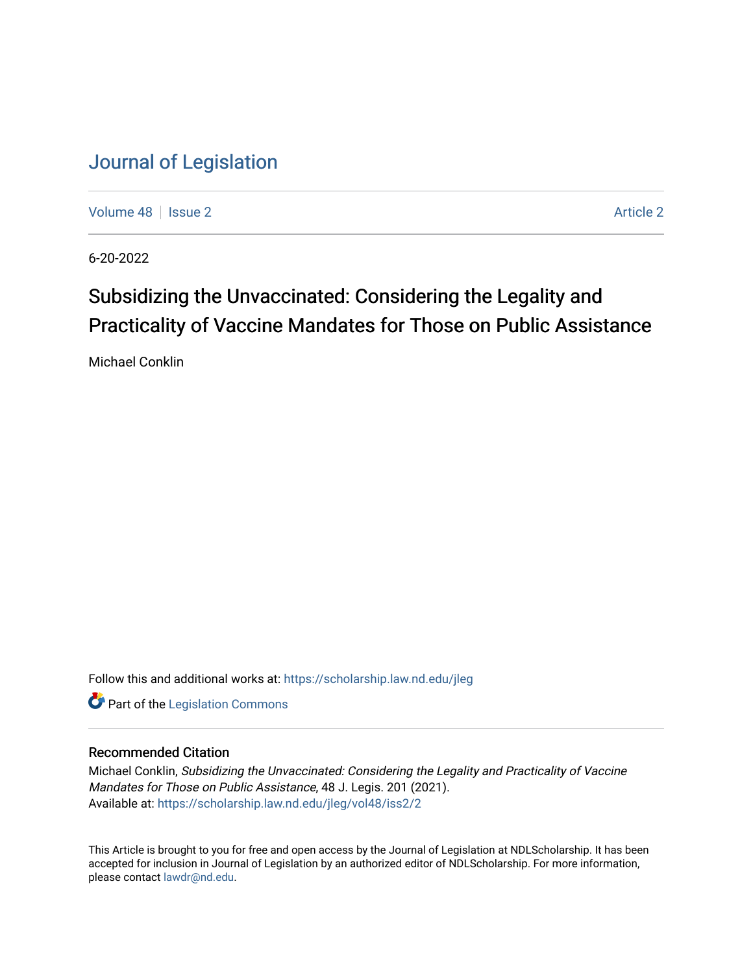[Volume 48](https://scholarship.law.nd.edu/jleg/vol48) | [Issue 2](https://scholarship.law.nd.edu/jleg/vol48/iss2) [Article 2](https://scholarship.law.nd.edu/jleg/vol48/iss2/2) Article 2 Article 2 Article 2 Article 2 Article 2 Article 2

6-20-2022

# Subsidizing the Unvaccinated: Considering the Legality and Practicality of Vaccine Mandates for Those on Public Assistance

Michael Conklin

Follow this and additional works at: [https://scholarship.law.nd.edu/jleg](https://scholarship.law.nd.edu/jleg?utm_source=scholarship.law.nd.edu%2Fjleg%2Fvol48%2Fiss2%2F2&utm_medium=PDF&utm_campaign=PDFCoverPages) 

**Part of the [Legislation Commons](https://network.bepress.com/hgg/discipline/859?utm_source=scholarship.law.nd.edu%2Fjleg%2Fvol48%2Fiss2%2F2&utm_medium=PDF&utm_campaign=PDFCoverPages)** 

## Recommended Citation

Michael Conklin, Subsidizing the Unvaccinated: Considering the Legality and Practicality of Vaccine Mandates for Those on Public Assistance, 48 J. Legis. 201 (2021). Available at: [https://scholarship.law.nd.edu/jleg/vol48/iss2/2](https://scholarship.law.nd.edu/jleg/vol48/iss2/2?utm_source=scholarship.law.nd.edu%2Fjleg%2Fvol48%2Fiss2%2F2&utm_medium=PDF&utm_campaign=PDFCoverPages) 

This Article is brought to you for free and open access by the Journal of Legislation at NDLScholarship. It has been accepted for inclusion in Journal of Legislation by an authorized editor of NDLScholarship. For more information, please contact [lawdr@nd.edu](mailto:lawdr@nd.edu).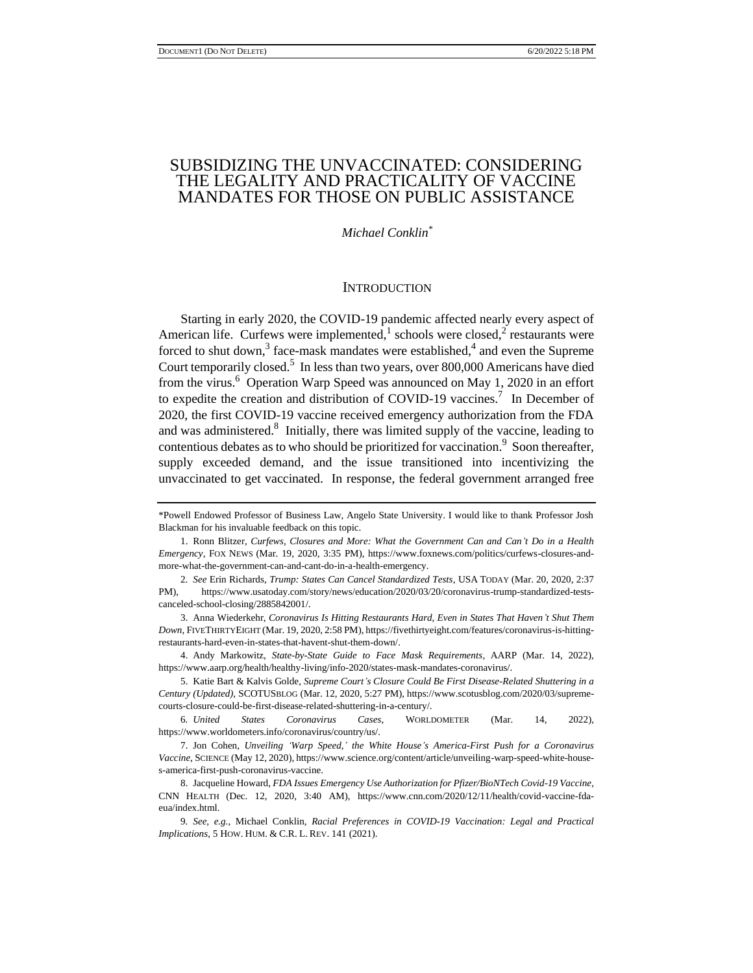## SUBSIDIZING THE UNVACCINATED: CONSIDERING THE LEGALITY AND PRACTICALITY OF VACCINE MANDATES FOR THOSE ON PUBLIC ASSISTANCE

*Michael Conklin\**

#### **INTRODUCTION**

Starting in early 2020, the COVID-19 pandemic affected nearly every aspect of American life. Curfews were implemented,<sup>1</sup> schools were closed,<sup>2</sup> restaurants were forced to shut down,<sup>3</sup> face-mask mandates were established,<sup>4</sup> and even the Supreme Court temporarily closed.<sup>5</sup> In less than two years, over 800,000 Americans have died from the virus.<sup>6</sup> Operation Warp Speed was announced on May 1, 2020 in an effort to expedite the creation and distribution of COVID-19 vaccines.<sup>7</sup> In December of 2020, the first COVID-19 vaccine received emergency authorization from the FDA and was administered. $8$  Initially, there was limited supply of the vaccine, leading to contentious debates as to who should be prioritized for vaccination.<sup>9</sup> Soon thereafter, supply exceeded demand, and the issue transitioned into incentivizing the unvaccinated to get vaccinated. In response, the federal government arranged free

<sup>\*</sup>Powell Endowed Professor of Business Law, Angelo State University. I would like to thank Professor Josh Blackman for his invaluable feedback on this topic.

<sup>1.</sup> Ronn Blitzer, *Curfews, Closures and More: What the Government Can and Can't Do in a Health Emergency*, FOX NEWS (Mar. 19, 2020, 3:35 PM), https://www.foxnews.com/politics/curfews-closures-andmore-what-the-government-can-and-cant-do-in-a-health-emergency.

<sup>2</sup>*. See* Erin Richards, *Trump: States Can Cancel Standardized Tests*, USA TODAY (Mar. 20, 2020, 2:37 PM), https://www.usatoday.com/story/news/education/2020/03/20/coronavirus-trump-standardized-testscanceled-school-closing/2885842001/.

<sup>3.</sup> Anna Wiederkehr, *Coronavirus Is Hitting Restaurants Hard, Even in States That Haven't Shut Them Down*, FIVETHIRTYEIGHT (Mar. 19, 2020, 2:58 PM), https://fivethirtyeight.com/features/coronavirus-is-hittingrestaurants-hard-even-in-states-that-havent-shut-them-down/.

<sup>4.</sup> Andy Markowitz, *State-by-State Guide to Face Mask Requirements*, AARP (Mar. 14, 2022), https://www.aarp.org/health/healthy-living/info-2020/states-mask-mandates-coronavirus/.

<sup>5.</sup> Katie Bart & Kalvis Golde, *Supreme Court's Closure Could Be First Disease-Related Shuttering in a Century (Updated),* SCOTUSBLOG (Mar. 12, 2020, 5:27 PM), https://www.scotusblog.com/2020/03/supremecourts-closure-could-be-first-disease-related-shuttering-in-a-century/.

<sup>6</sup>*. United States Coronavirus Cases*, WORLDOMETER (Mar. 14, 2022), https://www.worldometers.info/coronavirus/country/us/.

<sup>7.</sup> Jon Cohen, *Unveiling 'Warp Speed,' the White House's America-First Push for a Coronavirus Vaccine*, SCIENCE (May 12, 2020), https://www.science.org/content/article/unveiling-warp-speed-white-houses-america-first-push-coronavirus-vaccine.

<sup>8.</sup> Jacqueline Howard, *FDA Issues Emergency Use Authorization for Pfizer/BioNTech Covid-19 Vaccine*, CNN HEALTH (Dec. 12, 2020, 3:40 AM), https://www.cnn.com/2020/12/11/health/covid-vaccine-fdaeua/index.html.

<sup>9</sup>*. See, e.g.*, Michael Conklin, *Racial Preferences in COVID-19 Vaccination: Legal and Practical Implications*, 5 HOW. HUM. & C.R. L. REV. 141 (2021).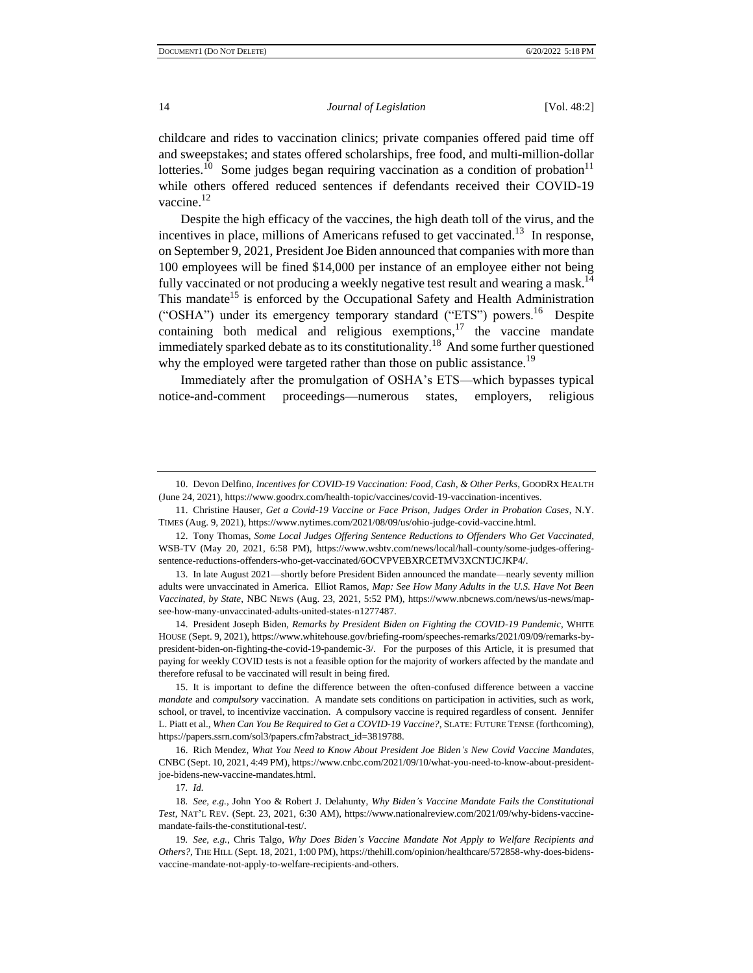childcare and rides to vaccination clinics; private companies offered paid time off and sweepstakes; and states offered scholarships, free food, and multi-million-dollar lotteries.<sup>10</sup> Some judges began requiring vaccination as a condition of probation<sup>11</sup> while others offered reduced sentences if defendants received their COVID-19 vaccine.<sup>12</sup>

Despite the high efficacy of the vaccines, the high death toll of the virus, and the incentives in place, millions of Americans refused to get vaccinated.<sup>13</sup> In response, on September 9, 2021, President Joe Biden announced that companies with more than 100 employees will be fined \$14,000 per instance of an employee either not being fully vaccinated or not producing a weekly negative test result and wearing a mask.<sup>14</sup> This mandate<sup>15</sup> is enforced by the Occupational Safety and Health Administration ("OSHA") under its emergency temporary standard ("ETS") powers.<sup>16</sup> Despite containing both medical and religious exemptions, $17$  the vaccine mandate immediately sparked debate as to its constitutionality.<sup>18</sup> And some further questioned why the employed were targeted rather than those on public assistance.<sup>19</sup>

Immediately after the promulgation of OSHA's ETS—which bypasses typical notice-and-comment proceedings—numerous states, employers, religious

11. Christine Hauser, *Get a Covid-19 Vaccine or Face Prison, Judges Order in Probation Cases*, N.Y. TIMES (Aug. 9, 2021), https://www.nytimes.com/2021/08/09/us/ohio-judge-covid-vaccine.html.

13. In late August 2021—shortly before President Biden announced the mandate—nearly seventy million adults were unvaccinated in America. Elliot Ramos, *Map: See How Many Adults in the U.S. Have Not Been Vaccinated, by State*, NBC NEWS (Aug. 23, 2021, 5:52 PM), https://www.nbcnews.com/news/us-news/mapsee-how-many-unvaccinated-adults-united-states-n1277487.

14. President Joseph Biden, *Remarks by President Biden on Fighting the COVID-19 Pandemic*, WHITE HOUSE (Sept. 9, 2021), https://www.whitehouse.gov/briefing-room/speeches-remarks/2021/09/09/remarks-bypresident-biden-on-fighting-the-covid-19-pandemic-3/. For the purposes of this Article, it is presumed that paying for weekly COVID tests is not a feasible option for the majority of workers affected by the mandate and therefore refusal to be vaccinated will result in being fired.

15. It is important to define the difference between the often-confused difference between a vaccine *mandate* and *compulsory* vaccination. A mandate sets conditions on participation in activities, such as work, school, or travel, to incentivize vaccination. A compulsory vaccine is required regardless of consent. Jennifer L. Piatt et al., *When Can You Be Required to Get a COVID-19 Vaccine?*, SLATE: FUTURE TENSE (forthcoming), https://papers.ssrn.com/sol3/papers.cfm?abstract\_id=3819788.

16. Rich Mendez, *What You Need to Know About President Joe Biden's New Covid Vaccine Mandates*, CNBC (Sept. 10, 2021, 4:49 PM), https://www.cnbc.com/2021/09/10/what-you-need-to-know-about-presidentjoe-bidens-new-vaccine-mandates.html.

17*. Id.*

18*. See, e.g.*, John Yoo & Robert J. Delahunty, *Why Biden's Vaccine Mandate Fails the Constitutional Test*, NAT'L REV. (Sept. 23, 2021, 6:30 AM), https://www.nationalreview.com/2021/09/why-bidens-vaccinemandate-fails-the-constitutional-test/.

19*. See, e.g.*, Chris Talgo, *Why Does Biden's Vaccine Mandate Not Apply to Welfare Recipients and Others?*, THE HILL (Sept. 18, 2021, 1:00 PM), https://thehill.com/opinion/healthcare/572858-why-does-bidensvaccine-mandate-not-apply-to-welfare-recipients-and-others.

<sup>10.</sup> Devon Delfino, *Incentives for COVID-19 Vaccination: Food, Cash, & Other Perks*, GOODRX HEALTH (June 24, 2021), https://www.goodrx.com/health-topic/vaccines/covid-19-vaccination-incentives.

<sup>12.</sup> Tony Thomas, *Some Local Judges Offering Sentence Reductions to Offenders Who Get Vaccinated*, WSB-TV (May 20, 2021, 6:58 PM), https://www.wsbtv.com/news/local/hall-county/some-judges-offeringsentence-reductions-offenders-who-get-vaccinated/6OCVPVEBXRCETMV3XCNTJCJKP4/.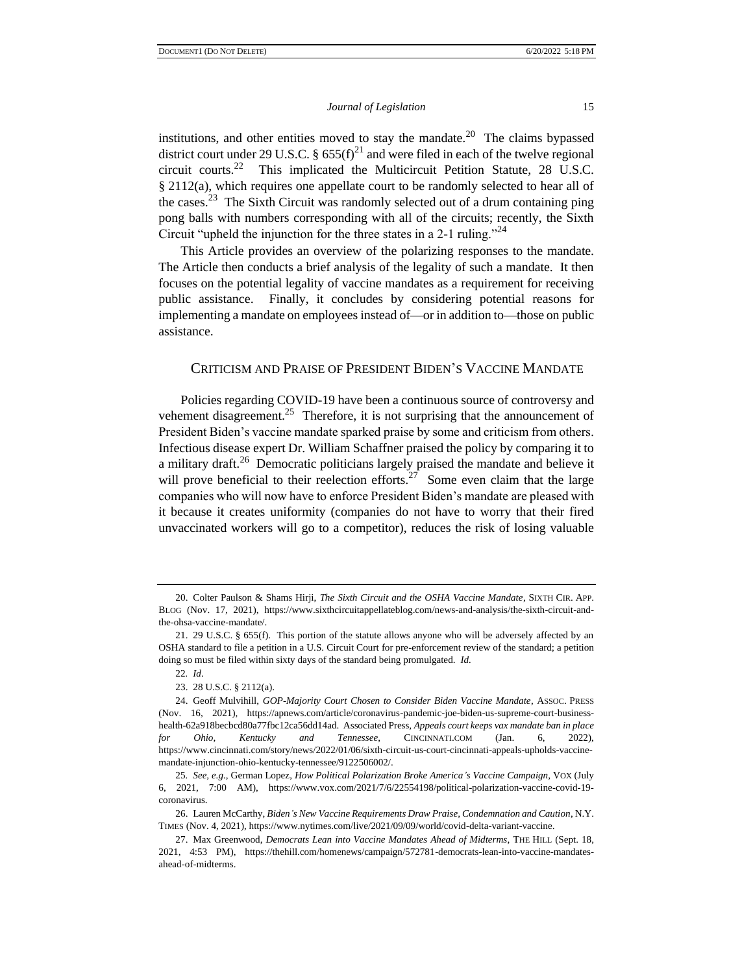institutions, and other entities moved to stay the mandate.<sup>20</sup> The claims bypassed district court under 29 U.S.C. §  $655(f)^{21}$  and were filed in each of the twelve regional circuit courts.<sup>22</sup> This implicated the Multicircuit Petition Statute, 28 U.S.C. § 2112(a), which requires one appellate court to be randomly selected to hear all of the cases.<sup>23</sup> The Sixth Circuit was randomly selected out of a drum containing ping pong balls with numbers corresponding with all of the circuits; recently, the Sixth Circuit "upheld the injunction for the three states in a 2-1 ruling."<sup>24</sup>

This Article provides an overview of the polarizing responses to the mandate. The Article then conducts a brief analysis of the legality of such a mandate. It then focuses on the potential legality of vaccine mandates as a requirement for receiving public assistance. Finally, it concludes by considering potential reasons for implementing a mandate on employees instead of—or in addition to—those on public assistance.

## CRITICISM AND PRAISE OF PRESIDENT BIDEN'S VACCINE MANDATE

Policies regarding COVID-19 have been a continuous source of controversy and vehement disagreement.<sup>25</sup> Therefore, it is not surprising that the announcement of President Biden's vaccine mandate sparked praise by some and criticism from others. Infectious disease expert Dr. William Schaffner praised the policy by comparing it to a military draft.<sup>26</sup> Democratic politicians largely praised the mandate and believe it will prove beneficial to their reelection efforts.<sup>27</sup> Some even claim that the large companies who will now have to enforce President Biden's mandate are pleased with it because it creates uniformity (companies do not have to worry that their fired unvaccinated workers will go to a competitor), reduces the risk of losing valuable

<sup>20.</sup> Colter Paulson & Shams Hirji, *The Sixth Circuit and the OSHA Vaccine Mandate*, SIXTH CIR. APP. BLOG (Nov. 17, 2021), https://www.sixthcircuitappellateblog.com/news-and-analysis/the-sixth-circuit-andthe-ohsa-vaccine-mandate/.

<sup>21.</sup> 29 U.S.C. § 655(f). This portion of the statute allows anyone who will be adversely affected by an OSHA standard to file a petition in a U.S. Circuit Court for pre-enforcement review of the standard; a petition doing so must be filed within sixty days of the standard being promulgated. *Id.*

<sup>22</sup>*. Id*.

<sup>23.</sup> 28 U.S.C. § 2112(a).

<sup>24.</sup> Geoff Mulvihill, *GOP-Majority Court Chosen to Consider Biden Vaccine Mandate*, ASSOC. PRESS (Nov. 16, 2021), https://apnews.com/article/coronavirus-pandemic-joe-biden-us-supreme-court-businesshealth-62a918becbcd80a77fbc12ca56dd14ad. Associated Press, *Appeals court keeps vax mandate ban in place for Ohio, Kentucky and Tennessee*, CINCINNATI.COM (Jan. 6, 2022), https://www.cincinnati.com/story/news/2022/01/06/sixth-circuit-us-court-cincinnati-appeals-upholds-vaccinemandate-injunction-ohio-kentucky-tennessee/9122506002/.

<sup>25</sup>*. See, e.g.*, German Lopez, *How Political Polarization Broke America's Vaccine Campaign*, VOX (July 6, 2021, 7:00 AM), https://www.vox.com/2021/7/6/22554198/political-polarization-vaccine-covid-19 coronavirus.

<sup>26.</sup> Lauren McCarthy, *Biden's New Vaccine Requirements Draw Praise, Condemnation and Caution*, N.Y. TIMES (Nov. 4, 2021), https://www.nytimes.com/live/2021/09/09/world/covid-delta-variant-vaccine.

<sup>27.</sup> Max Greenwood, *Democrats Lean into Vaccine Mandates Ahead of Midterms*, THE HILL (Sept. 18, 2021, 4:53 PM), https://thehill.com/homenews/campaign/572781-democrats-lean-into-vaccine-mandatesahead-of-midterms.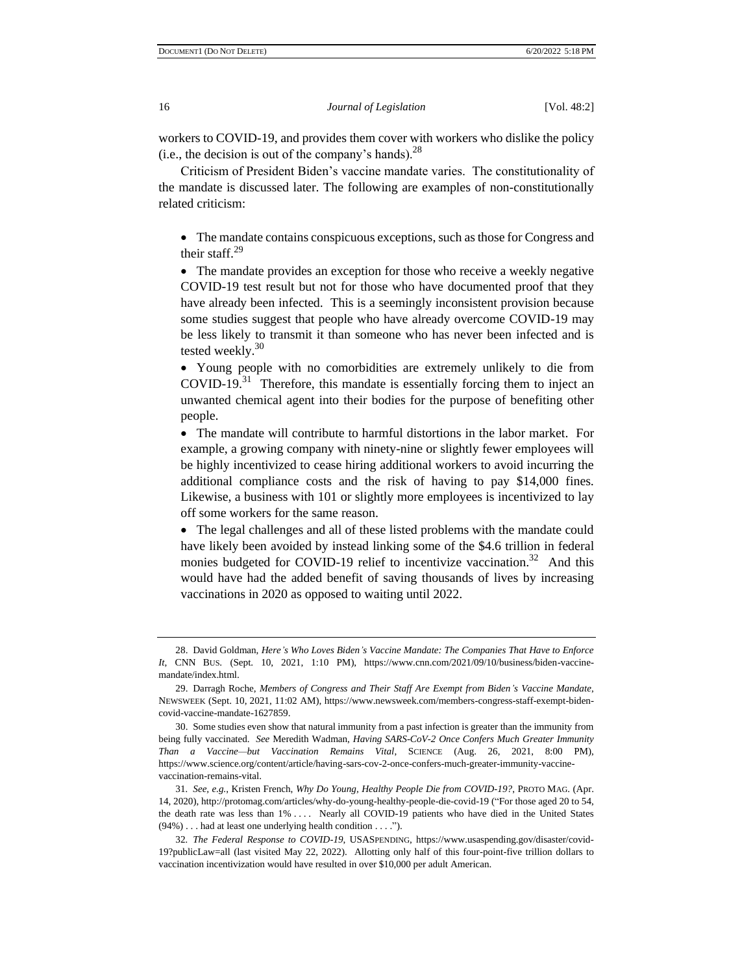workers to COVID-19, and provides them cover with workers who dislike the policy (i.e., the decision is out of the company's hands). $^{28}$ 

Criticism of President Biden's vaccine mandate varies. The constitutionality of the mandate is discussed later. The following are examples of non-constitutionally related criticism:

• The mandate contains conspicuous exceptions, such as those for Congress and their staff. $29$ 

• The mandate provides an exception for those who receive a weekly negative COVID-19 test result but not for those who have documented proof that they have already been infected. This is a seemingly inconsistent provision because some studies suggest that people who have already overcome COVID-19 may be less likely to transmit it than someone who has never been infected and is tested weekly.<sup>30</sup>

• Young people with no comorbidities are extremely unlikely to die from  $\text{COVID-19.}^{31}$  Therefore, this mandate is essentially forcing them to inject an unwanted chemical agent into their bodies for the purpose of benefiting other people.

• The mandate will contribute to harmful distortions in the labor market. For example, a growing company with ninety-nine or slightly fewer employees will be highly incentivized to cease hiring additional workers to avoid incurring the additional compliance costs and the risk of having to pay \$14,000 fines. Likewise, a business with 101 or slightly more employees is incentivized to lay off some workers for the same reason.

• The legal challenges and all of these listed problems with the mandate could have likely been avoided by instead linking some of the \$4.6 trillion in federal monies budgeted for COVID-19 relief to incentivize vaccination.<sup>32</sup> And this would have had the added benefit of saving thousands of lives by increasing vaccinations in 2020 as opposed to waiting until 2022.

<sup>28.</sup> David Goldman, *Here's Who Loves Biden's Vaccine Mandate: The Companies That Have to Enforce It*, CNN BUS. (Sept. 10, 2021, 1:10 PM), https://www.cnn.com/2021/09/10/business/biden-vaccinemandate/index.html.

<sup>29.</sup> Darragh Roche, *Members of Congress and Their Staff Are Exempt from Biden's Vaccine Mandate*, NEWSWEEK (Sept. 10, 2021, 11:02 AM), https://www.newsweek.com/members-congress-staff-exempt-bidencovid-vaccine-mandate-1627859.

<sup>30.</sup> Some studies even show that natural immunity from a past infection is greater than the immunity from being fully vaccinated. *See* Meredith Wadman, *Having SARS-CoV-2 Once Confers Much Greater Immunity Than a Vaccine—but Vaccination Remains Vital*, SCIENCE (Aug. 26, 2021, 8:00 PM), https://www.science.org/content/article/having-sars-cov-2-once-confers-much-greater-immunity-vaccinevaccination-remains-vital.

<sup>31</sup>*. See, e.g.*, Kristen French, *Why Do Young, Healthy People Die from COVID-19?*, PROTO MAG. (Apr. 14, 2020), http://protomag.com/articles/why-do-young-healthy-people-die-covid-19 ("For those aged 20 to 54, the death rate was less than 1% . . . . Nearly all COVID-19 patients who have died in the United States (94%) . . . had at least one underlying health condition . . . .").

<sup>32</sup>*. The Federal Response to COVID-19*, USASPENDING, https://www.usaspending.gov/disaster/covid-19?publicLaw=all (last visited May 22, 2022). Allotting only half of this four-point-five trillion dollars to vaccination incentivization would have resulted in over \$10,000 per adult American.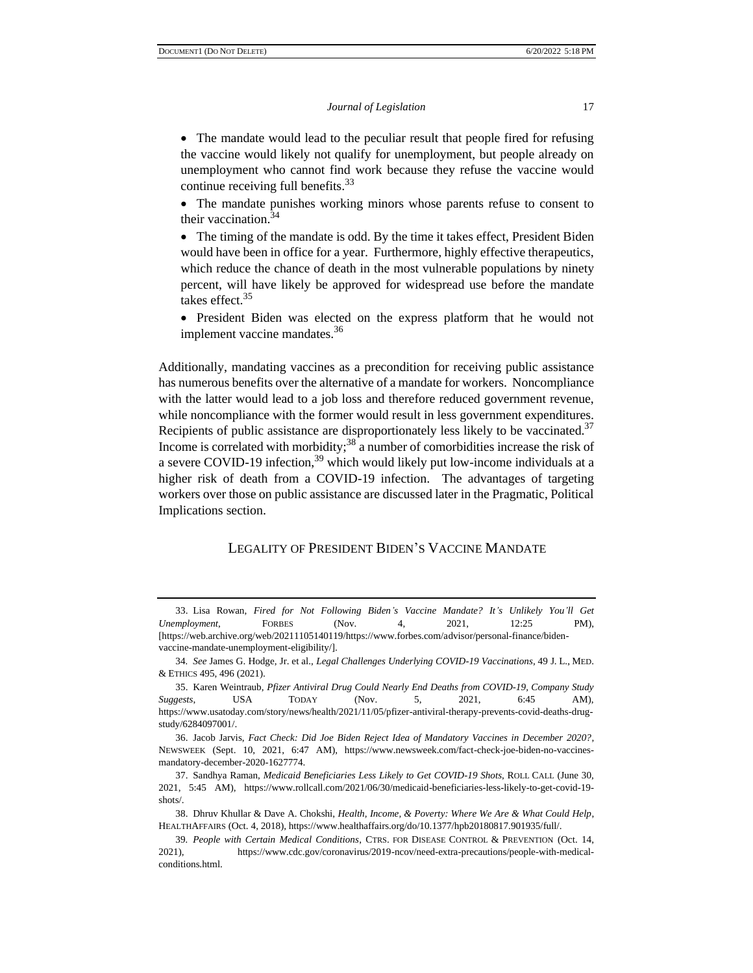• The mandate would lead to the peculiar result that people fired for refusing the vaccine would likely not qualify for unemployment, but people already on unemployment who cannot find work because they refuse the vaccine would continue receiving full benefits.  $33$ 

• The mandate punishes working minors whose parents refuse to consent to their vaccination.<sup>34</sup>

• The timing of the mandate is odd. By the time it takes effect, President Biden would have been in office for a year. Furthermore, highly effective therapeutics, which reduce the chance of death in the most vulnerable populations by ninety percent, will have likely be approved for widespread use before the mandate takes effect.<sup>35</sup>

• President Biden was elected on the express platform that he would not implement vaccine mandates.<sup>36</sup>

Additionally, mandating vaccines as a precondition for receiving public assistance has numerous benefits over the alternative of a mandate for workers. Noncompliance with the latter would lead to a job loss and therefore reduced government revenue, while noncompliance with the former would result in less government expenditures. Recipients of public assistance are disproportionately less likely to be vaccinated.<sup>37</sup> Income is correlated with morbidity; $38$  a number of comorbidities increase the risk of a severe COVID-19 infection,<sup>39</sup> which would likely put low-income individuals at a higher risk of death from a COVID-19 infection. The advantages of targeting workers over those on public assistance are discussed later in the Pragmatic, Political Implications section.

## LEGALITY OF PRESIDENT BIDEN'S VACCINE MANDATE

<sup>33.</sup> Lisa Rowan, *Fired for Not Following Biden's Vaccine Mandate? It's Unlikely You'll Get Unemployment*, FORBES (Nov. 4, 2021, 12:25 PM), [https://web.archive.org/web/20211105140119/https://www.forbes.com/advisor/personal-finance/bidenvaccine-mandate-unemployment-eligibility/].

<sup>34</sup>*. See* James G. Hodge, Jr. et al., *Legal Challenges Underlying COVID-19 Vaccinations*, 49 J. L., MED. & ETHICS 495, 496 (2021).

<sup>35.</sup> Karen Weintraub, *Pfizer Antiviral Drug Could Nearly End Deaths from COVID-19, Company Study Suggests*, USA TODAY (Nov. 5, 2021, 6:45 AM), https://www.usatoday.com/story/news/health/2021/11/05/pfizer-antiviral-therapy-prevents-covid-deaths-drugstudy/6284097001/.

<sup>36.</sup> Jacob Jarvis, *Fact Check: Did Joe Biden Reject Idea of Mandatory Vaccines in December 2020?*, NEWSWEEK (Sept. 10, 2021, 6:47 AM), https://www.newsweek.com/fact-check-joe-biden-no-vaccinesmandatory-december-2020-1627774.

<sup>37.</sup> Sandhya Raman, *Medicaid Beneficiaries Less Likely to Get COVID-19 Shots*, ROLL CALL (June 30, 2021, 5:45 AM), https://www.rollcall.com/2021/06/30/medicaid-beneficiaries-less-likely-to-get-covid-19 shots/.

<sup>38.</sup> Dhruv Khullar & Dave A. Chokshi, *Health, Income, & Poverty: Where We Are & What Could Help*, HEALTHAFFAIRS (Oct. 4, 2018), https://www.healthaffairs.org/do/10.1377/hpb20180817.901935/full/.

<sup>39</sup>*. People with Certain Medical Conditions*, CTRS. FOR DISEASE CONTROL & PREVENTION (Oct. 14, 2021), https://www.cdc.gov/coronavirus/2019-ncov/need-extra-precautions/people-with-medicalconditions.html.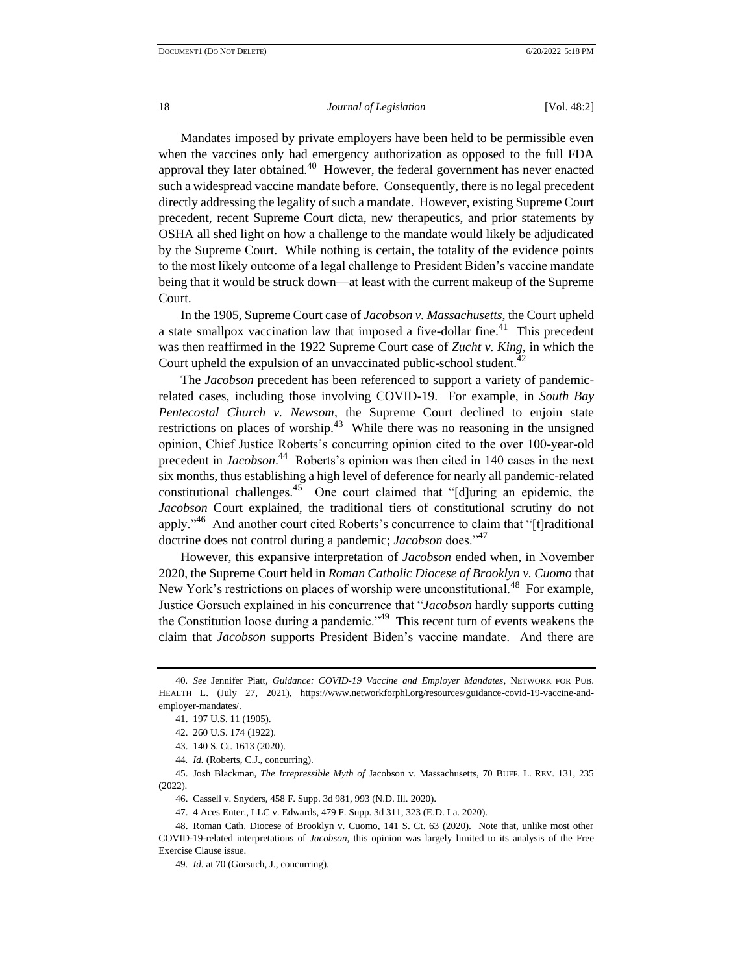Mandates imposed by private employers have been held to be permissible even when the vaccines only had emergency authorization as opposed to the full FDA approval they later obtained. $40$  However, the federal government has never enacted such a widespread vaccine mandate before. Consequently, there is no legal precedent directly addressing the legality of such a mandate. However, existing Supreme Court precedent, recent Supreme Court dicta, new therapeutics, and prior statements by OSHA all shed light on how a challenge to the mandate would likely be adjudicated by the Supreme Court. While nothing is certain, the totality of the evidence points to the most likely outcome of a legal challenge to President Biden's vaccine mandate being that it would be struck down—at least with the current makeup of the Supreme Court.

In the 1905, Supreme Court case of *Jacobson v. Massachusetts*, the Court upheld a state smallpox vaccination law that imposed a five-dollar fine.<sup>41</sup> This precedent was then reaffirmed in the 1922 Supreme Court case of *Zucht v. King*, in which the Court upheld the expulsion of an unvaccinated public-school student. $42$ 

The *Jacobson* precedent has been referenced to support a variety of pandemicrelated cases, including those involving COVID-19. For example, in *South Bay Pentecostal Church v. Newsom*, the Supreme Court declined to enjoin state restrictions on places of worship.<sup>43</sup> While there was no reasoning in the unsigned opinion, Chief Justice Roberts's concurring opinion cited to the over 100-year-old precedent in *Jacobson*. 44 Roberts's opinion was then cited in 140 cases in the next six months, thus establishing a high level of deference for nearly all pandemic-related constitutional challenges.<sup>45</sup> One court claimed that "[d]uring an epidemic, the *Jacobson* Court explained, the traditional tiers of constitutional scrutiny do not apply."<sup>46</sup> And another court cited Roberts's concurrence to claim that "[t]raditional doctrine does not control during a pandemic; *Jacobson* does."<sup>47</sup>

However, this expansive interpretation of *Jacobson* ended when, in November 2020, the Supreme Court held in *Roman Catholic Diocese of Brooklyn v. Cuomo* that New York's restrictions on places of worship were unconstitutional.<sup>48</sup> For example, Justice Gorsuch explained in his concurrence that "*Jacobson* hardly supports cutting the Constitution loose during a pandemic."<sup>49</sup> This recent turn of events weakens the claim that *Jacobson* supports President Biden's vaccine mandate. And there are

45. Josh Blackman, *The Irrepressible Myth of* Jacobson v. Massachusetts, 70 BUFF. L. REV. 131, 235 (2022).

<sup>40</sup>*. See* Jennifer Piatt, *Guidance: COVID-19 Vaccine and Employer Mandates*, NETWORK FOR PUB. HEALTH L. (July 27, 2021), https://www.networkforphl.org/resources/guidance-covid-19-vaccine-andemployer-mandates/.

<sup>41.</sup> 197 U.S. 11 (1905).

<sup>42.</sup> 260 U.S. 174 (1922).

<sup>43.</sup> 140 S. Ct. 1613 (2020).

<sup>44</sup>*. Id.* (Roberts, C.J., concurring).

<sup>46.</sup> Cassell v. Snyders, 458 F. Supp. 3d 981, 993 (N.D. Ill. 2020).

<sup>47.</sup> 4 Aces Enter., LLC v. Edwards, 479 F. Supp. 3d 311, 323 (E.D. La. 2020).

<sup>48.</sup> Roman Cath. Diocese of Brooklyn v. Cuomo, 141 S. Ct. 63 (2020). Note that, unlike most other COVID-19-related interpretations of *Jacobson*, this opinion was largely limited to its analysis of the Free Exercise Clause issue.

<sup>49</sup>*. Id.* at 70 (Gorsuch, J., concurring).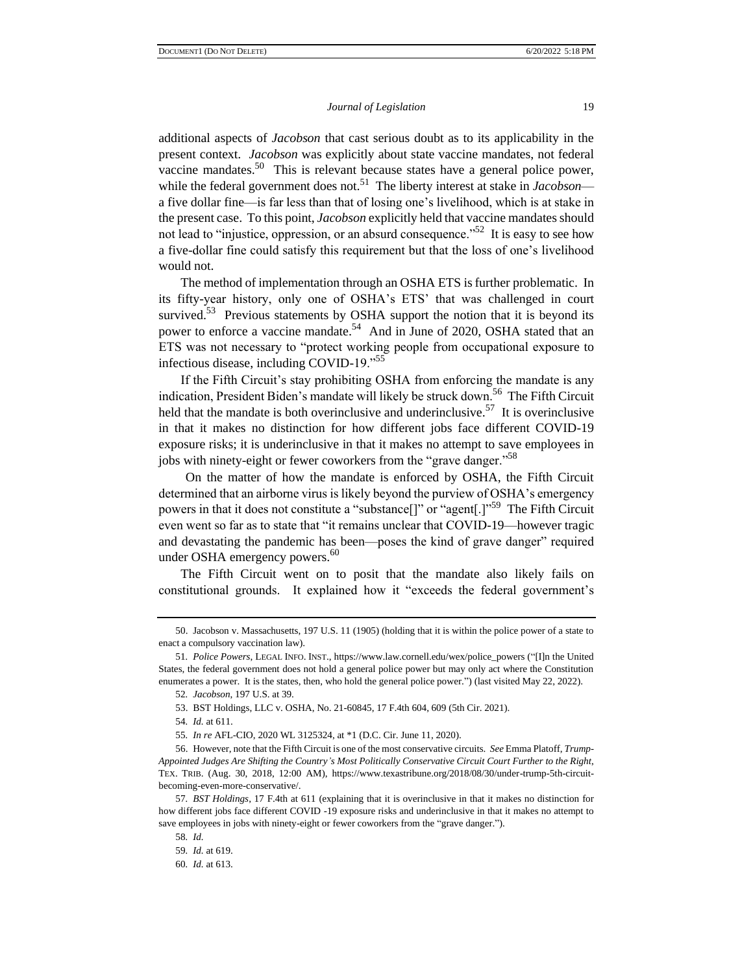additional aspects of *Jacobson* that cast serious doubt as to its applicability in the present context. *Jacobson* was explicitly about state vaccine mandates, not federal vaccine mandates.<sup>50</sup> This is relevant because states have a general police power, while the federal government does not.<sup>51</sup> The liberty interest at stake in *Jacobson* a five dollar fine—is far less than that of losing one's livelihood, which is at stake in the present case. To this point, *Jacobson* explicitly held that vaccine mandates should not lead to "injustice, oppression, or an absurd consequence."<sup>52</sup> It is easy to see how a five-dollar fine could satisfy this requirement but that the loss of one's livelihood would not.

The method of implementation through an OSHA ETS is further problematic. In its fifty-year history, only one of OSHA's ETS' that was challenged in court survived.<sup>53</sup> Previous statements by OSHA support the notion that it is beyond its power to enforce a vaccine mandate.<sup>54</sup> And in June of 2020, OSHA stated that an ETS was not necessary to "protect working people from occupational exposure to infectious disease, including COVID-19."<sup>55</sup>

If the Fifth Circuit's stay prohibiting OSHA from enforcing the mandate is any indication, President Biden's mandate will likely be struck down.<sup>56</sup> The Fifth Circuit held that the mandate is both overinclusive and underinclusive.<sup>57</sup> It is overinclusive in that it makes no distinction for how different jobs face different COVID-19 exposure risks; it is underinclusive in that it makes no attempt to save employees in jobs with ninety-eight or fewer coworkers from the "grave danger."<sup>58</sup>

On the matter of how the mandate is enforced by OSHA, the Fifth Circuit determined that an airborne virus is likely beyond the purview of OSHA's emergency powers in that it does not constitute a "substance<sup>[]"</sup> or "agent<sup>[1]</sup><sup>59</sup> The Fifth Circuit even went so far as to state that "it remains unclear that COVID-19—however tragic and devastating the pandemic has been—poses the kind of grave danger" required under OSHA emergency powers.<sup>60</sup>

The Fifth Circuit went on to posit that the mandate also likely fails on constitutional grounds. It explained how it "exceeds the federal government's

<sup>50.</sup> Jacobson v. Massachusetts, 197 U.S. 11 (1905) (holding that it is within the police power of a state to enact a compulsory vaccination law).

<sup>51</sup>*. Police Powers*, LEGAL INFO. INST., https://www.law.cornell.edu/wex/police\_powers ("[I]n the United States, the federal government does not hold a general police power but may only act where the Constitution enumerates a power. It is the states, then, who hold the general police power.") (last visited May 22, 2022).

<sup>52</sup>*. Jacobson*, 197 U.S. at 39.

<sup>53.</sup> BST Holdings, LLC v. OSHA, No. 21-60845, 17 F.4th 604, 609 (5th Cir. 2021).

<sup>54</sup>*. Id.* at 611.

<sup>55</sup>*. In re* AFL-CIO, 2020 WL 3125324, at \*1 (D.C. Cir. June 11, 2020).

<sup>56.</sup> However, note that the Fifth Circuit is one of the most conservative circuits. *See* Emma Platoff, *Trump-Appointed Judges Are Shifting the Country's Most Politically Conservative Circuit Court Further to the Right*, TEX. TRIB. (Aug. 30, 2018, 12:00 AM), https://www.texastribune.org/2018/08/30/under-trump-5th-circuitbecoming-even-more-conservative/.

<sup>57</sup>*. BST Holdings*, 17 F.4th at 611 (explaining that it is overinclusive in that it makes no distinction for how different jobs face different COVID -19 exposure risks and underinclusive in that it makes no attempt to save employees in jobs with ninety-eight or fewer coworkers from the "grave danger.").

<sup>58</sup>*. Id.*

<sup>59</sup>*. Id.* at 619.

<sup>60</sup>*. Id.* at 613.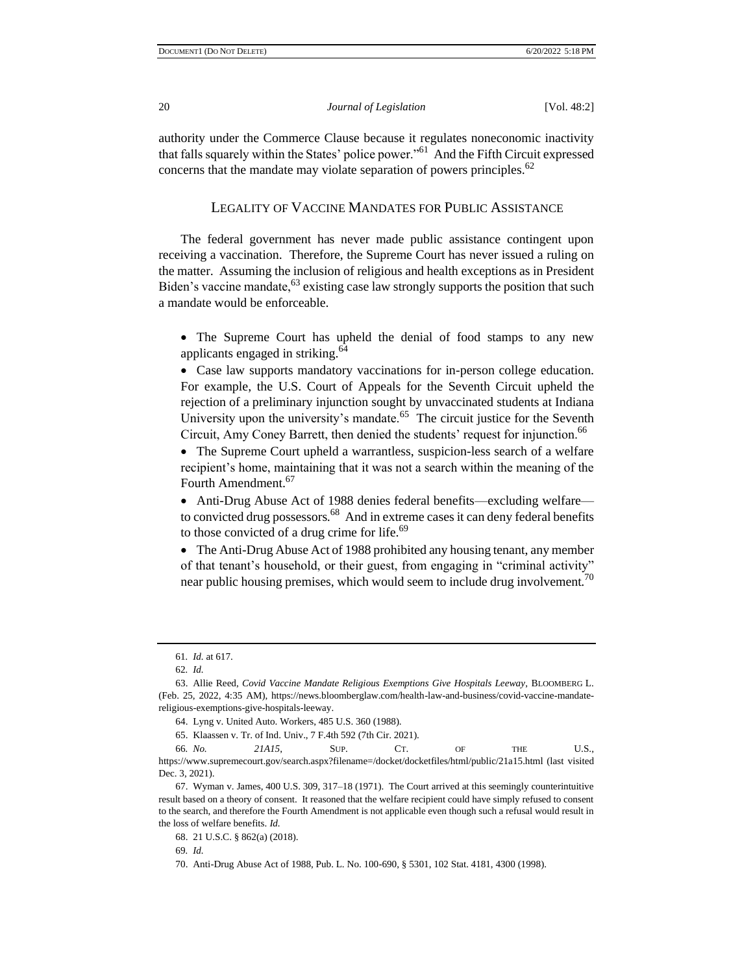authority under the Commerce Clause because it regulates noneconomic inactivity that falls squarely within the States' police power."<sup>61</sup> And the Fifth Circuit expressed concerns that the mandate may violate separation of powers principles. $62$ 

## LEGALITY OF VACCINE MANDATES FOR PUBLIC ASSISTANCE

The federal government has never made public assistance contingent upon receiving a vaccination. Therefore, the Supreme Court has never issued a ruling on the matter. Assuming the inclusion of religious and health exceptions as in President Biden's vaccine mandate,  $63$  existing case law strongly supports the position that such a mandate would be enforceable.

• The Supreme Court has upheld the denial of food stamps to any new applicants engaged in striking.<sup>64</sup>

• Case law supports mandatory vaccinations for in-person college education. For example, the U.S. Court of Appeals for the Seventh Circuit upheld the rejection of a preliminary injunction sought by unvaccinated students at Indiana University upon the university's mandate.<sup>65</sup> The circuit justice for the Seventh Circuit, Amy Coney Barrett, then denied the students' request for injunction.<sup>66</sup>

• The Supreme Court upheld a warrantless, suspicion-less search of a welfare recipient's home, maintaining that it was not a search within the meaning of the Fourth Amendment.<sup>67</sup>

• Anti-Drug Abuse Act of 1988 denies federal benefits—excluding welfare to convicted drug possessors.<sup>68</sup> And in extreme cases it can deny federal benefits to those convicted of a drug crime for life.<sup>69</sup>

• The Anti-Drug Abuse Act of 1988 prohibited any housing tenant, any member of that tenant's household, or their guest, from engaging in "criminal activity" near public housing premises, which would seem to include drug involvement.<sup>70</sup>

69*. Id.*

<sup>61</sup>*. Id.* at 617.

<sup>62</sup>*. Id.*

<sup>63.</sup> Allie Reed, *Covid Vaccine Mandate Religious Exemptions Give Hospitals Leeway*, BLOOMBERG L. (Feb. 25, 2022, 4:35 AM), https://news.bloomberglaw.com/health-law-and-business/covid-vaccine-mandatereligious-exemptions-give-hospitals-leeway.

<sup>64.</sup> Lyng v. United Auto. Workers, 485 U.S. 360 (1988).

<sup>65.</sup> Klaassen v. Tr. of Ind. Univ., 7 F.4th 592 (7th Cir. 2021).

<sup>66</sup>*. No. 21A15*, SUP. CT. OF THE U.S., https://www.supremecourt.gov/search.aspx?filename=/docket/docketfiles/html/public/21a15.html (last visited Dec. 3, 2021).

<sup>67.</sup> Wyman v. James, 400 U.S. 309, 317–18 (1971). The Court arrived at this seemingly counterintuitive result based on a theory of consent. It reasoned that the welfare recipient could have simply refused to consent to the search, and therefore the Fourth Amendment is not applicable even though such a refusal would result in the loss of welfare benefits. *Id.*

<sup>68.</sup> 21 U.S.C. § 862(a) (2018).

<sup>70.</sup> Anti-Drug Abuse Act of 1988, Pub. L. No. 100-690, § 5301, 102 Stat. 4181, 4300 (1998).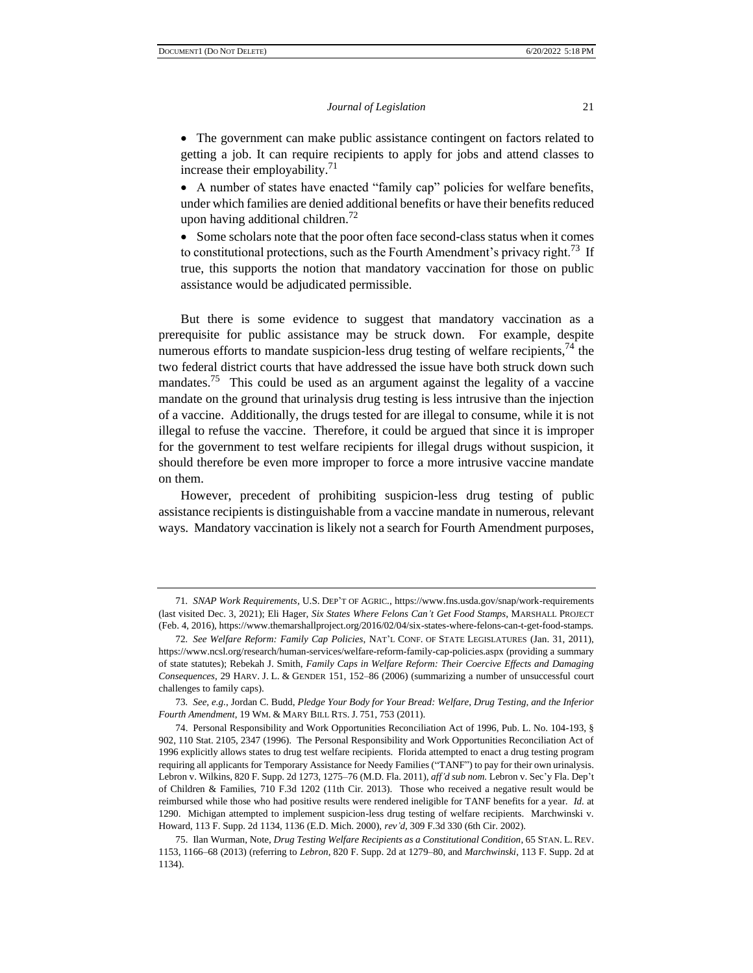• The government can make public assistance contingent on factors related to getting a job. It can require recipients to apply for jobs and attend classes to increase their employability.<sup>71</sup>

• A number of states have enacted "family cap" policies for welfare benefits, under which families are denied additional benefits or have their benefits reduced upon having additional children.<sup>72</sup>

• Some scholars note that the poor often face second-class status when it comes to constitutional protections, such as the Fourth Amendment's privacy right.<sup>73</sup> If true, this supports the notion that mandatory vaccination for those on public assistance would be adjudicated permissible.

But there is some evidence to suggest that mandatory vaccination as a prerequisite for public assistance may be struck down. For example, despite numerous efforts to mandate suspicion-less drug testing of welfare recipients,  $^{74}$  the two federal district courts that have addressed the issue have both struck down such mandates.<sup>75</sup> This could be used as an argument against the legality of a vaccine mandate on the ground that urinalysis drug testing is less intrusive than the injection of a vaccine. Additionally, the drugs tested for are illegal to consume, while it is not illegal to refuse the vaccine. Therefore, it could be argued that since it is improper for the government to test welfare recipients for illegal drugs without suspicion, it should therefore be even more improper to force a more intrusive vaccine mandate on them.

However, precedent of prohibiting suspicion-less drug testing of public assistance recipients is distinguishable from a vaccine mandate in numerous, relevant ways. Mandatory vaccination is likely not a search for Fourth Amendment purposes,

<sup>71</sup>*. SNAP Work Requirements*, U.S. DEP'T OF AGRIC., https://www.fns.usda.gov/snap/work-requirements (last visited Dec. 3, 2021); Eli Hager, *Six States Where Felons Can't Get Food Stamps*, MARSHALL PROJECT (Feb. 4, 2016), https://www.themarshallproject.org/2016/02/04/six-states-where-felons-can-t-get-food-stamps.

<sup>72</sup>*. See Welfare Reform: Family Cap Policies*, NAT'L CONF. OF STATE LEGISLATURES (Jan. 31, 2011), https://www.ncsl.org/research/human-services/welfare-reform-family-cap-policies.aspx (providing a summary of state statutes); Rebekah J. Smith, *Family Caps in Welfare Reform: Their Coercive Effects and Damaging Consequences*, 29 HARV. J. L. & GENDER 151, 152–86 (2006) (summarizing a number of unsuccessful court challenges to family caps).

<sup>73</sup>*. See, e.g.*, Jordan C. Budd, *Pledge Your Body for Your Bread: Welfare, Drug Testing, and the Inferior Fourth Amendment*, 19 WM. & MARY BILL RTS. J. 751, 753 (2011).

<sup>74.</sup> Personal Responsibility and Work Opportunities Reconciliation Act of 1996, Pub. L. No. 104-193, § 902, 110 Stat. 2105, 2347 (1996). The Personal Responsibility and Work Opportunities Reconciliation Act of 1996 explicitly allows states to drug test welfare recipients. Florida attempted to enact a drug testing program requiring all applicants for Temporary Assistance for Needy Families ("TANF") to pay for their own urinalysis. Lebron v. Wilkins, 820 F. Supp. 2d 1273, 1275–76 (M.D. Fla. 2011), *aff'd sub nom.* Lebron v. Sec'y Fla. Dep't of Children & Families, 710 F.3d 1202 (11th Cir. 2013). Those who received a negative result would be reimbursed while those who had positive results were rendered ineligible for TANF benefits for a year. *Id.* at 1290. Michigan attempted to implement suspicion-less drug testing of welfare recipients. Marchwinski v. Howard, 113 F. Supp. 2d 1134, 1136 (E.D. Mich. 2000), *rev'd*, 309 F.3d 330 (6th Cir. 2002).

<sup>75.</sup> Ilan Wurman, Note, *Drug Testing Welfare Recipients as a Constitutional Condition*, 65 STAN. L. REV. 1153, 1166–68 (2013) (referring to *Lebron*, 820 F. Supp. 2d at 1279–80, and *Marchwinski*, 113 F. Supp. 2d at 1134).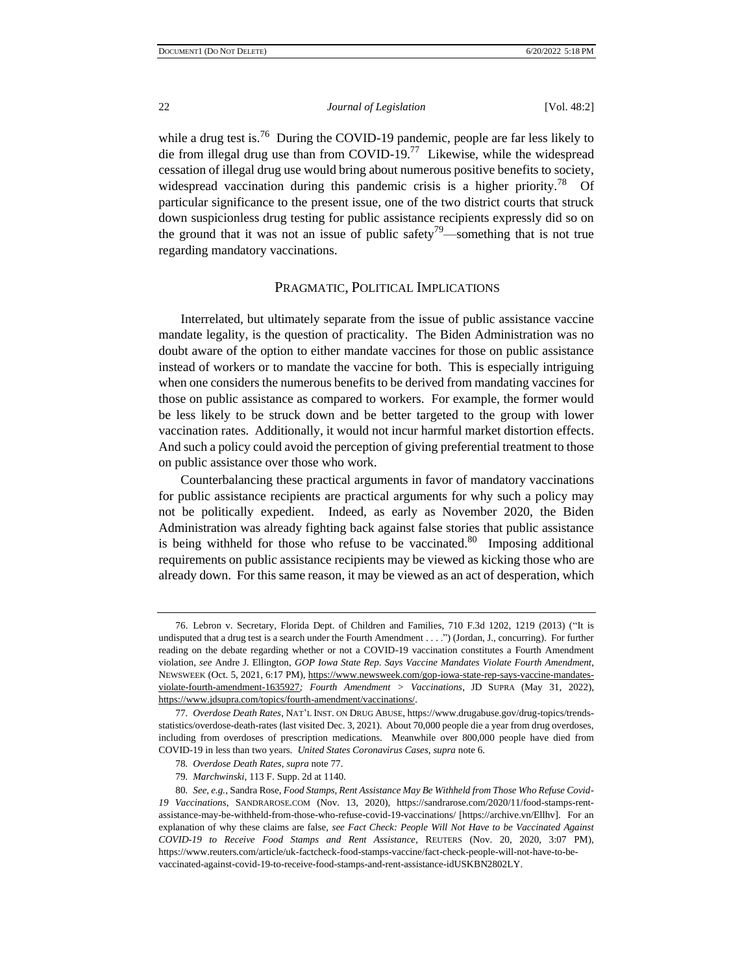while a drug test is.<sup>76</sup> During the COVID-19 pandemic, people are far less likely to die from illegal drug use than from COVID-19.<sup>77</sup> Likewise, while the widespread cessation of illegal drug use would bring about numerous positive benefits to society, widespread vaccination during this pandemic crisis is a higher priority.<sup>78</sup> Of particular significance to the present issue, one of the two district courts that struck down suspicionless drug testing for public assistance recipients expressly did so on the ground that it was not an issue of public safety<sup>79</sup>—something that is not true regarding mandatory vaccinations.

## PRAGMATIC, POLITICAL IMPLICATIONS

Interrelated, but ultimately separate from the issue of public assistance vaccine mandate legality, is the question of practicality. The Biden Administration was no doubt aware of the option to either mandate vaccines for those on public assistance instead of workers or to mandate the vaccine for both. This is especially intriguing when one considers the numerous benefits to be derived from mandating vaccines for those on public assistance as compared to workers. For example, the former would be less likely to be struck down and be better targeted to the group with lower vaccination rates. Additionally, it would not incur harmful market distortion effects. And such a policy could avoid the perception of giving preferential treatment to those on public assistance over those who work.

Counterbalancing these practical arguments in favor of mandatory vaccinations for public assistance recipients are practical arguments for why such a policy may not be politically expedient. Indeed, as early as November 2020, the Biden Administration was already fighting back against false stories that public assistance is being withheld for those who refuse to be vaccinated.<sup>80</sup> Imposing additional requirements on public assistance recipients may be viewed as kicking those who are already down. For this same reason, it may be viewed as an act of desperation, which

<sup>76.</sup> Lebron v. Secretary, Florida Dept. of Children and Families, 710 F.3d 1202, 1219 (2013) ("It is undisputed that a drug test is a search under the Fourth Amendment . . . .") (Jordan, J., concurring). For further reading on the debate regarding whether or not a COVID-19 vaccination constitutes a Fourth Amendment violation, *see* Andre J. Ellington, *GOP Iowa State Rep. Says Vaccine Mandates Violate Fourth Amendment*, NEWSWEEK (Oct. 5, 2021, 6:17 PM), https://www.newsweek.com/gop-iowa-state-rep-says-vaccine-mandatesviolate-fourth-amendment-1635927*; Fourth Amendment > Vaccinations*, JD SUPRA (May 31, 2022), https://www.jdsupra.com/topics/fourth-amendment/vaccinations/.

<sup>77</sup>*. Overdose Death Rates*, NAT'L INST. ON DRUG ABUSE, https://www.drugabuse.gov/drug-topics/trendsstatistics/overdose-death-rates (last visited Dec. 3, 2021). About 70,000 people die a year from drug overdoses, including from overdoses of prescription medications. Meanwhile over 800,000 people have died from COVID-19 in less than two years. *United States Coronavirus Cases*, *supra* note 6.

<sup>78</sup>*. Overdose Death Rates*, *supra* note 77.

<sup>79</sup>*. Marchwinski*, 113 F. Supp. 2d at 1140.

<sup>80</sup>*. See, e.g.*, Sandra Rose, *Food Stamps, Rent Assistance May Be Withheld from Those Who Refuse Covid-19 Vaccinations*, SANDRAROSE.COM (Nov. 13, 2020), https://sandrarose.com/2020/11/food-stamps-rentassistance-may-be-withheld-from-those-who-refuse-covid-19-vaccinations/ [https://archive.vn/Ellhv]. For an explanation of why these claims are false, *see Fact Check: People Will Not Have to be Vaccinated Against COVID-19 to Receive Food Stamps and Rent Assistance*, REUTERS (Nov. 20, 2020, 3:07 PM), https://www.reuters.com/article/uk-factcheck-food-stamps-vaccine/fact-check-people-will-not-have-to-bevaccinated-against-covid-19-to-receive-food-stamps-and-rent-assistance-idUSKBN2802LY.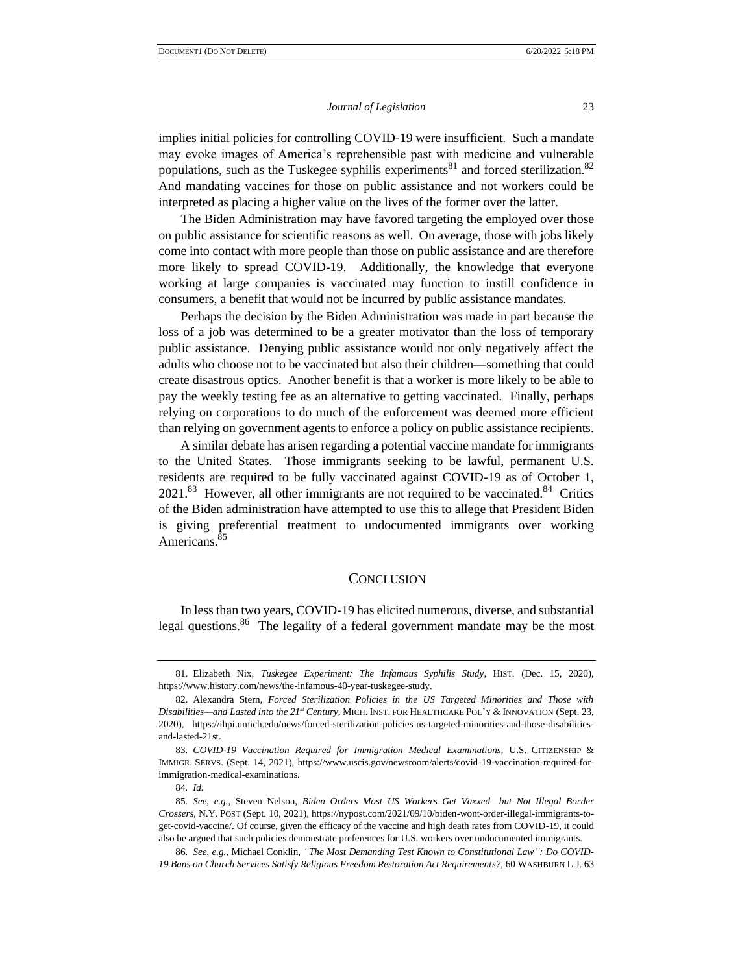implies initial policies for controlling COVID-19 were insufficient. Such a mandate may evoke images of America's reprehensible past with medicine and vulnerable populations, such as the Tuskegee syphilis experiments<sup>81</sup> and forced sterilization.<sup>82</sup> And mandating vaccines for those on public assistance and not workers could be interpreted as placing a higher value on the lives of the former over the latter.

The Biden Administration may have favored targeting the employed over those on public assistance for scientific reasons as well. On average, those with jobs likely come into contact with more people than those on public assistance and are therefore more likely to spread COVID-19. Additionally, the knowledge that everyone working at large companies is vaccinated may function to instill confidence in consumers, a benefit that would not be incurred by public assistance mandates.

Perhaps the decision by the Biden Administration was made in part because the loss of a job was determined to be a greater motivator than the loss of temporary public assistance. Denying public assistance would not only negatively affect the adults who choose not to be vaccinated but also their children—something that could create disastrous optics. Another benefit is that a worker is more likely to be able to pay the weekly testing fee as an alternative to getting vaccinated. Finally, perhaps relying on corporations to do much of the enforcement was deemed more efficient than relying on government agents to enforce a policy on public assistance recipients.

A similar debate has arisen regarding a potential vaccine mandate for immigrants to the United States. Those immigrants seeking to be lawful, permanent U.S. residents are required to be fully vaccinated against COVID-19 as of October 1,  $2021$ .<sup>83</sup> However, all other immigrants are not required to be vaccinated.<sup>84</sup> Critics of the Biden administration have attempted to use this to allege that President Biden is giving preferential treatment to undocumented immigrants over working Americans.<sup>85</sup>

### **CONCLUSION**

In less than two years, COVID-19 has elicited numerous, diverse, and substantial legal questions.<sup>86</sup> The legality of a federal government mandate may be the most

<sup>81.</sup> Elizabeth Nix, *Tuskegee Experiment: The Infamous Syphilis Study*, HIST. (Dec. 15, 2020), https://www.history.com/news/the-infamous-40-year-tuskegee-study.

<sup>82.</sup> Alexandra Stern, *Forced Sterilization Policies in the US Targeted Minorities and Those with Disabilities—and Lasted into the 21st Century*, MICH. INST. FOR HEALTHCARE POL'Y & INNOVATION (Sept. 23, 2020), https://ihpi.umich.edu/news/forced-sterilization-policies-us-targeted-minorities-and-those-disabilitiesand-lasted-21st.

<sup>83</sup>*. COVID-19 Vaccination Required for Immigration Medical Examinations*, U.S. CITIZENSHIP & IMMIGR. SERVS. (Sept. 14, 2021), https://www.uscis.gov/newsroom/alerts/covid-19-vaccination-required-forimmigration-medical-examinations.

<sup>84</sup>*. Id.*

<sup>85</sup>*. See, e.g.*, Steven Nelson, *Biden Orders Most US Workers Get Vaxxed—but Not Illegal Border Crossers*, N.Y. POST (Sept. 10, 2021), https://nypost.com/2021/09/10/biden-wont-order-illegal-immigrants-toget-covid-vaccine/. Of course, given the efficacy of the vaccine and high death rates from COVID-19, it could also be argued that such policies demonstrate preferences for U.S. workers over undocumented immigrants.

<sup>86</sup>*. See, e.g.*, Michael Conklin, *"The Most Demanding Test Known to Constitutional Law": Do COVID-19 Bans on Church Services Satisfy Religious Freedom Restoration Act Requirements?*, 60 WASHBURN L.J. 63